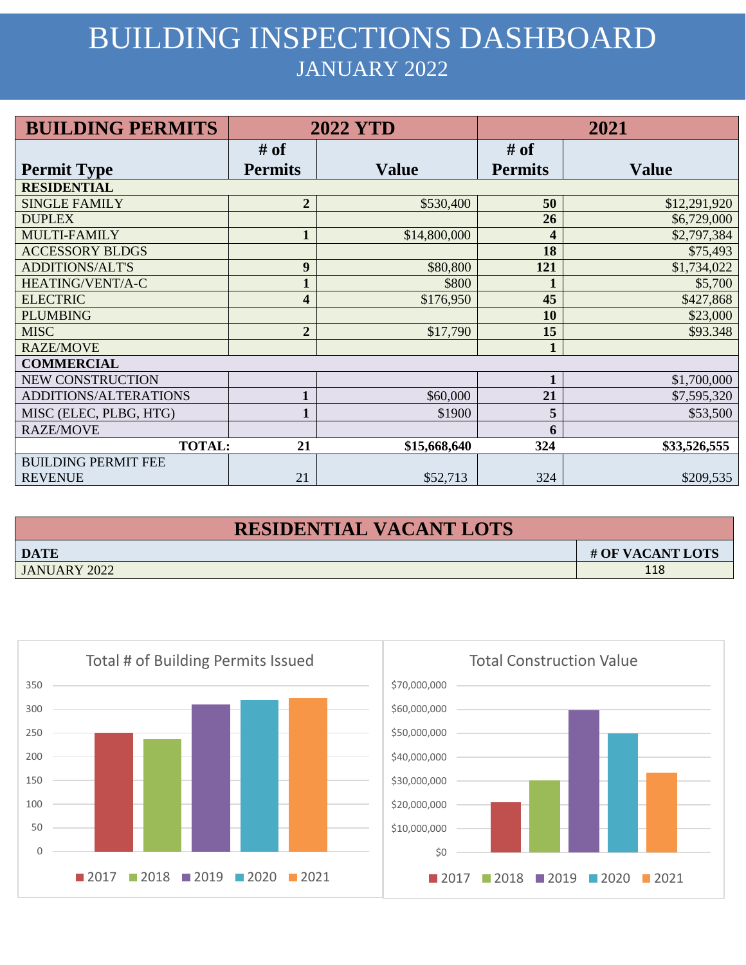## BUILDING INSPECTIONS DASHBOARD JANUARY 2022

| <b>BUILDING PERMITS</b>                      | <b>2022 YTD</b>          |              | 2021                   |              |  |
|----------------------------------------------|--------------------------|--------------|------------------------|--------------|--|
| <b>Permit Type</b>                           | $#$ of<br><b>Permits</b> | <b>Value</b> | # of<br><b>Permits</b> | <b>Value</b> |  |
| <b>RESIDENTIAL</b>                           |                          |              |                        |              |  |
| <b>SINGLE FAMILY</b>                         | $\overline{2}$           | \$530,400    | 50                     | \$12,291,920 |  |
| <b>DUPLEX</b>                                |                          |              | 26                     | \$6,729,000  |  |
| <b>MULTI-FAMILY</b>                          | 1                        | \$14,800,000 | 4                      | \$2,797,384  |  |
| <b>ACCESSORY BLDGS</b>                       |                          |              | 18                     | \$75,493     |  |
| <b>ADDITIONS/ALT'S</b>                       | 9                        | \$80,800     | 121                    | \$1,734,022  |  |
| HEATING/VENT/A-C                             |                          | \$800        |                        | \$5,700      |  |
| <b>ELECTRIC</b>                              | 4                        | \$176,950    | 45                     | \$427,868    |  |
| <b>PLUMBING</b>                              |                          |              | 10                     | \$23,000     |  |
| <b>MISC</b>                                  | $\overline{2}$           | \$17,790     | 15                     | \$93.348     |  |
| <b>RAZE/MOVE</b>                             |                          |              | $\mathbf{1}$           |              |  |
| <b>COMMERCIAL</b>                            |                          |              |                        |              |  |
| NEW CONSTRUCTION                             |                          |              | 1                      | \$1,700,000  |  |
| ADDITIONS/ALTERATIONS                        | $\mathbf{1}$             | \$60,000     | 21                     | \$7,595,320  |  |
| MISC (ELEC, PLBG, HTG)                       |                          | \$1900       | 5                      | \$53,500     |  |
| <b>RAZE/MOVE</b>                             |                          |              | 6                      |              |  |
| <b>TOTAL:</b>                                | 21                       | \$15,668,640 | 324                    | \$33,526,555 |  |
| <b>BUILDING PERMIT FEE</b><br><b>REVENUE</b> | 21                       | \$52,713     | 324                    | \$209,535    |  |

| <b>RESIDENTIAL VACANT LOTS</b> |                  |  |  |
|--------------------------------|------------------|--|--|
| <b>DATE</b>                    | # OF VACANT LOTS |  |  |
| <b>JANUARY 2022</b>            | 118              |  |  |

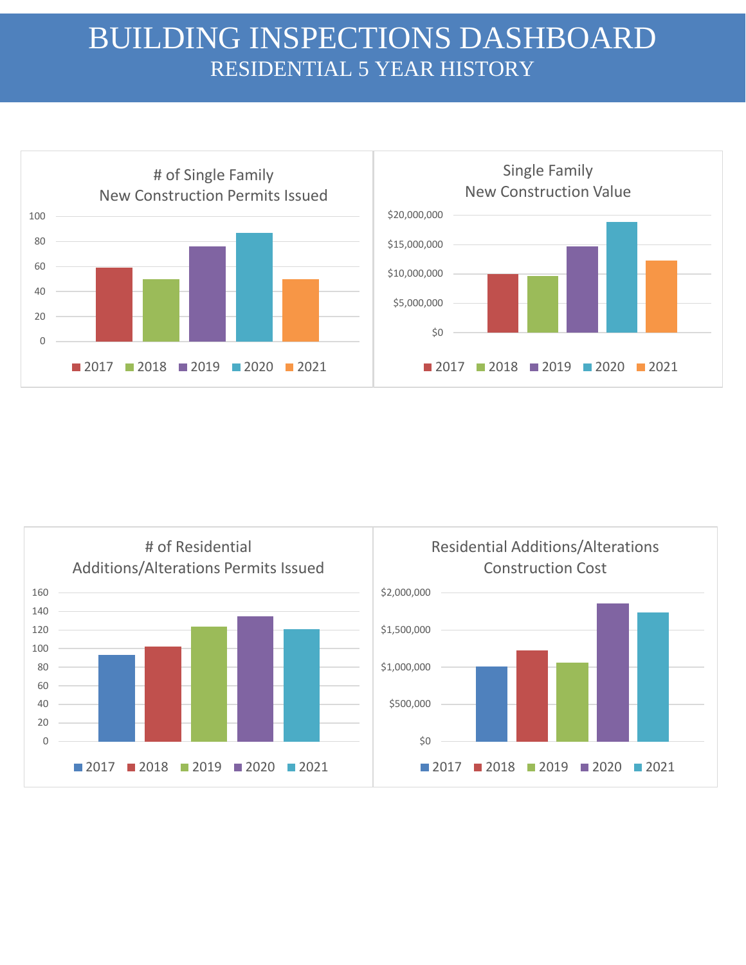## BUILDING INSPECTIONS DASHBOARD RESIDENTIAL 5 YEAR HISTORY